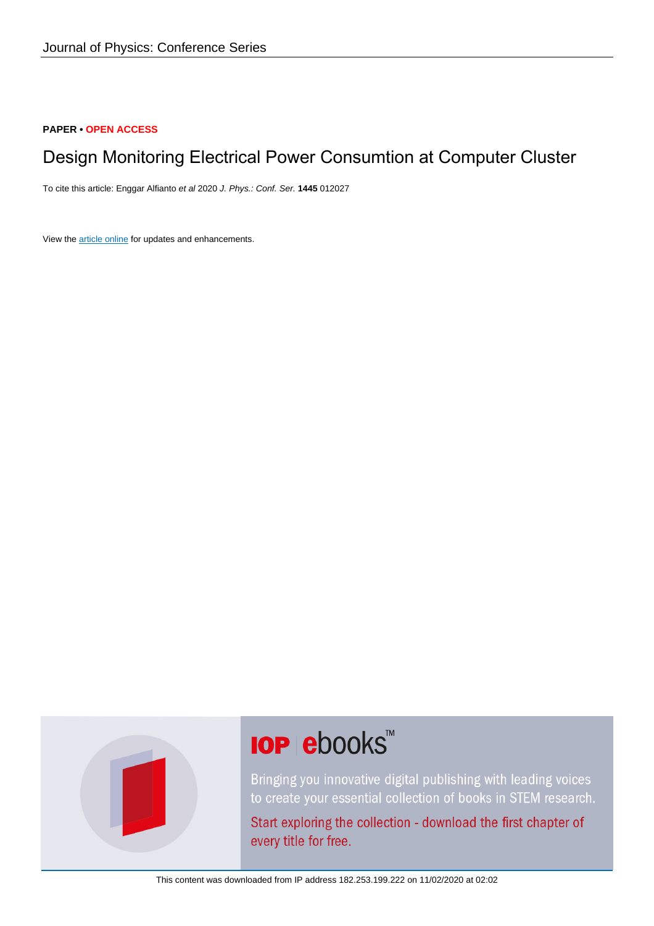#### **PAPER • OPEN ACCESS**

## Design Monitoring Electrical Power Consumtion at Computer Cluster

To cite this article: Enggar Alfianto et al 2020 J. Phys.: Conf. Ser. **1445** 012027

View the [article online](https://doi.org/10.1088/1742-6596/1445/1/012027) for updates and enhancements.



# **IOP ebooks™**

Bringing you innovative digital publishing with leading voices to create your essential collection of books in STEM research.

Start exploring the collection - download the first chapter of every title for free.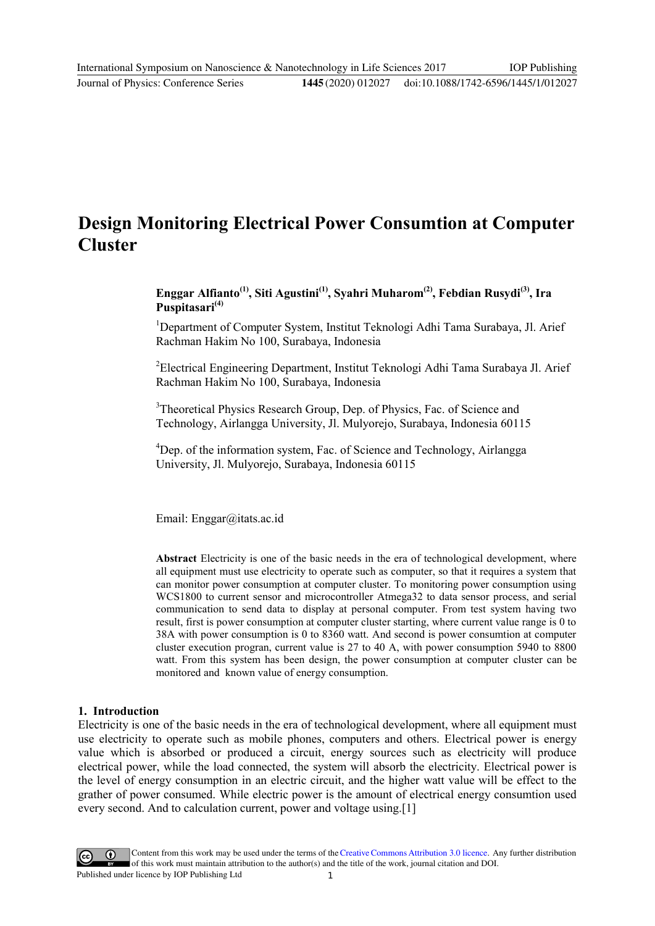## **Design Monitoring Electrical Power Consumtion at Computer Cluster**

**Enggar Alfianto(1), Siti Agustini(1) , Syahri Muharom(2) , Febdian Rusydi(3) , Ira Puspitasari(4)**

<sup>1</sup>Department of Computer System, Institut Teknologi Adhi Tama Surabaya, Jl. Arief Rachman Hakim No 100, Surabaya, Indonesia

<sup>2</sup>Electrical Engineering Department, Institut Teknologi Adhi Tama Surabaya Jl. Arief Rachman Hakim No 100, Surabaya, Indonesia

<sup>3</sup>Theoretical Physics Research Group, Dep. of Physics, Fac. of Science and Technology, Airlangga University, Jl. Mulyorejo, Surabaya, Indonesia 60115

<sup>4</sup>Dep. of the information system, Fac. of Science and Technology, Airlangga University, Jl. Mulyorejo, Surabaya, Indonesia 60115

Email: Enggar@itats.ac.id

**Abstract** Electricity is one of the basic needs in the era of technological development, where all equipment must use electricity to operate such as computer, so that it requires a system that can monitor power consumption at computer cluster. To monitoring power consumption using WCS1800 to current sensor and microcontroller Atmega32 to data sensor process, and serial communication to send data to display at personal computer. From test system having two result, first is power consumption at computer cluster starting, where current value range is 0 to 38A with power consumption is 0 to 8360 watt. And second is power consumtion at computer cluster execution progran, current value is 27 to 40 A, with power consumption 5940 to 8800 watt. From this system has been design, the power consumption at computer cluster can be monitored and known value of energy consumption.

#### **1. Introduction**

Electricity is one of the basic needs in the era of technological development, where all equipment must use electricity to operate such as mobile phones, computers and others. Electrical power is energy value which is absorbed or produced a circuit, energy sources such as electricity will produce electrical power, while the load connected, the system will absorb the electricity. Electrical power is the level of energy consumption in an electric circuit, and the higher watt value will be effect to the grather of power consumed. While electric power is the amount of electrical energy consumtion used every second. And to calculation current, power and voltage using.[1]

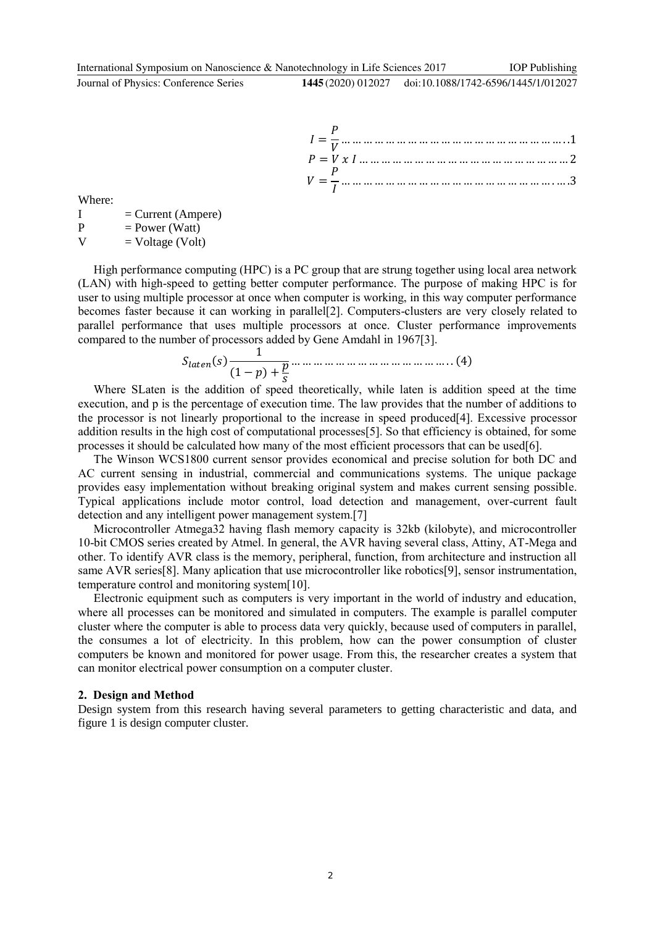IOP Publishing

| $P = V x I                 2$ |  |
|-------------------------------|--|
|                               |  |

Where:

I = Current (Ampere)<br>P = Power (Watt) P = Power (Watt)<br>V = Voltage (Volt  $=$  Voltage (Volt)

High performance computing (HPC) is a PC group that are strung together using local area network (LAN) with high-speed to getting better computer performance. The purpose of making HPC is for user to using multiple processor at once when computer is working, in this way computer performance becomes faster because it can working in parallel[2]. Computers-clusters are very closely related to parallel performance that uses multiple processors at once. Cluster performance improvements compared to the number of processors added by Gene Amdahl in 1967[3].

$$
S_{laten}(s) \frac{1}{(1-p) + \frac{p}{s}} \dots \dots \dots \dots \dots \dots \dots \dots \dots \dots \dots \dots (4)
$$

Where SLaten is the addition of speed theoretically, while laten is addition speed at the time execution, and p is the percentage of execution time. The law provides that the number of additions to the processor is not linearly proportional to the increase in speed produced[4]. Excessive processor addition results in the high cost of computational processes[5]. So that efficiency is obtained, for some processes it should be calculated how many of the most efficient processors that can be used[6].

The Winson WCS1800 current sensor provides economical and precise solution for both DC and AC current sensing in industrial, commercial and communications systems. The unique package provides easy implementation without breaking original system and makes current sensing possible. Typical applications include motor control, load detection and management, over-current fault detection and any intelligent power management system.[7]

Microcontroller Atmega32 having flash memory capacity is 32kb (kilobyte), and microcontroller 10-bit CMOS series created by Atmel. In general, the AVR having several class, Attiny, AT-Mega and other. To identify AVR class is the memory, peripheral, function, from architecture and instruction all same AVR series[8]. Many aplication that use microcontroller like robotics[9], sensor instrumentation, temperature control and monitoring system[10].

Electronic equipment such as computers is very important in the world of industry and education, where all processes can be monitored and simulated in computers. The example is parallel computer cluster where the computer is able to process data very quickly, because used of computers in parallel, the consumes a lot of electricity. In this problem, how can the power consumption of cluster computers be known and monitored for power usage. From this, the researcher creates a system that can monitor electrical power consumption on a computer cluster.

#### **2. Design and Method**

Design system from this research having several parameters to getting characteristic and data, and figure 1 is design computer cluster.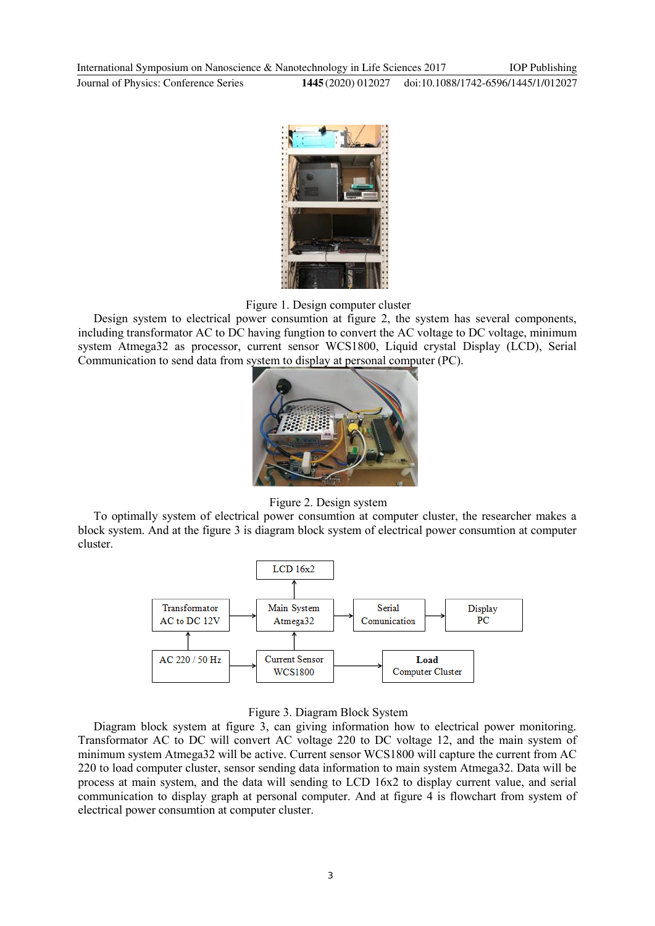International Symposium on Nanoscience & Nanotechnology in Life Sciences 2017 Journal of Physics: Conference Series **1445** (2020) 012027 IOP Publishing doi:10.1088/1742-6596/1445/1/012027



Figure 1. Design computer cluster

Design system to electrical power consumtion at figure 2, the system has several components, including transformator AC to DC having fungtion to convert the AC voltage to DC voltage, minimum system Atmega32 as processor, current sensor WCS1800, Liquid crystal Display (LCD), Serial Communication to send data from system to display at personal computer (PC).



Figure 2. Design system

To optimally system of electrical power consumtion at computer cluster, the researcher makes a block system. And at the figure 3 is diagram block system of electrical power consumtion at computer cluster.



#### Figure 3. Diagram Block System

Diagram block system at figure 3, can giving information how to electrical power monitoring. Transformator AC to DC will convert AC voltage 220 to DC voltage 12, and the main system of minimum system Atmega32 will be active. Current sensor WCS1800 will capture the current from AC 220 to load computer cluster, sensor sending data information to main system Atmega32. Data will be process at main system, and the data will sending to LCD 16x2 to display current value, and serial communication to display graph at personal computer. And at figure 4 is flowchart from system of electrical power consumtion at computer cluster.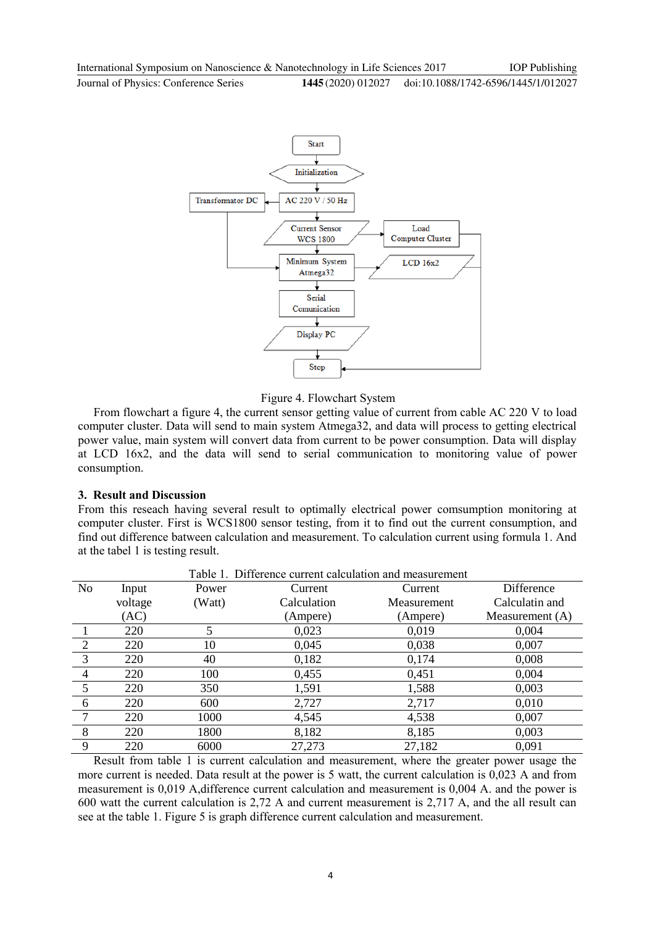

Figure 4. Flowchart System

From flowchart a figure 4, the current sensor getting value of current from cable AC 220 V to load computer cluster. Data will send to main system Atmega32, and data will process to getting electrical power value, main system will convert data from current to be power consumption. Data will display at LCD 16x2, and the data will send to serial communication to monitoring value of power consumption.

#### **3. Result and Discussion**

From this reseach having several result to optimally electrical power comsumption monitoring at computer cluster. First is WCS1800 sensor testing, from it to find out the current consumption, and find out difference batween calculation and measurement. To calculation current using formula 1. And at the tabel 1 is testing result.

| Table 1. Difference current calculation and measurement |         |        |                            |          |                   |
|---------------------------------------------------------|---------|--------|----------------------------|----------|-------------------|
| N <sub>o</sub>                                          | Input   | Power  | Current                    | Current  | Difference        |
|                                                         | voltage | (Watt) | Calculation<br>Measurement |          | Calculatin and    |
|                                                         | (AC)    |        | (Ampere)                   | (Ampere) | Measurement $(A)$ |
|                                                         | 220     |        | 0,023                      | 0,019    | 0,004             |
| $\overline{2}$                                          | 220     | 10     | 0,045                      | 0,038    | 0,007             |
| 3                                                       | 220     | 40     | 0,182                      | 0,174    | 0,008             |
| $\overline{4}$                                          | 220     | 100    | 0,455                      | 0,451    | 0,004             |
| 5                                                       | 220     | 350    | 1,591                      | 1,588    | 0,003             |
| 6                                                       | 220     | 600    | 2,727                      | 2,717    | 0,010             |
|                                                         | 220     | 1000   | 4,545                      | 4,538    | 0,007             |
| 8                                                       | 220     | 1800   | 8,182                      | 8,185    | 0,003             |
| 9                                                       | 220     | 6000   | 27,273                     | 27,182   | 0,091             |

Result from table 1 is current calculation and measurement, where the greater power usage the more current is needed. Data result at the power is 5 watt, the current calculation is 0,023 A and from measurement is 0,019 A,difference current calculation and measurement is 0,004 A. and the power is 600 watt the current calculation is 2,72 A and current measurement is 2,717 A, and the all result can see at the table 1. Figure 5 is graph difference current calculation and measurement.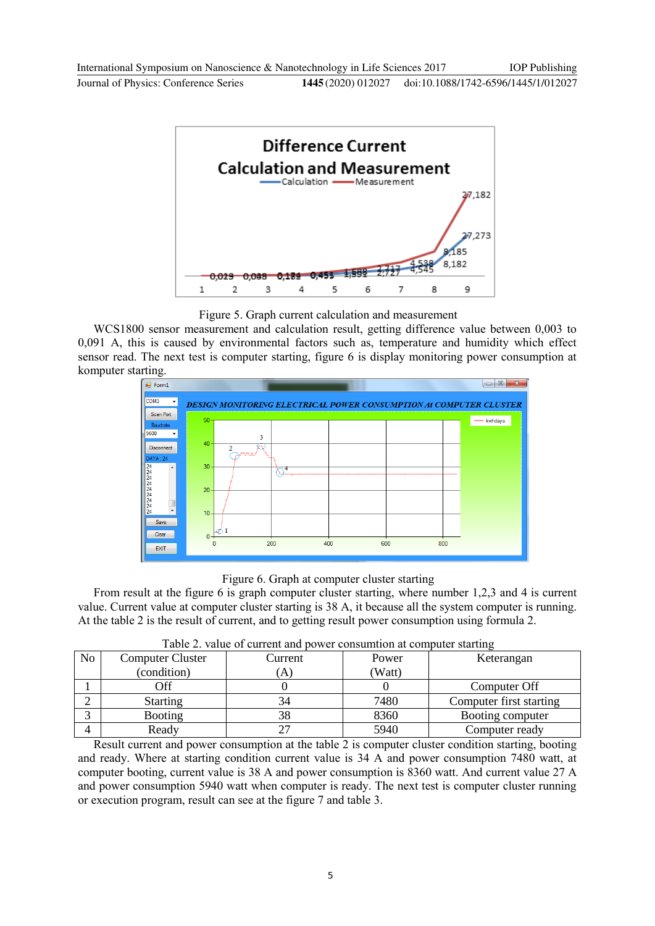

Figure 5. Graph current calculation and measurement

WCS1800 sensor measurement and calculation result, getting difference value between 0,003 to 0,091 A, this is caused by environmental factors such as, temperature and humidity which effect sensor read. The next test is computer starting, figure 6 is display monitoring power consumption at komputer starting.



Figure 6. Graph at computer cluster starting

From result at the figure 6 is graph computer cluster starting, where number 1,2,3 and 4 is current value. Current value at computer cluster starting is 38 A, it because all the system computer is running. At the table 2 is the result of current, and to getting result power consumption using formula 2.

| No | <b>Computer Cluster</b> | Current | Power  | Keterangan              |  |
|----|-------------------------|---------|--------|-------------------------|--|
|    | (condition)             | A       | (Watt) |                         |  |
|    | Off                     |         |        | Computer Off            |  |
|    | <b>Starting</b>         |         | 7480   | Computer first starting |  |
|    | <b>Booting</b>          | 38      | 8360   | Booting computer        |  |
|    | Ready                   |         | 5940   | Computer ready          |  |

Table 2. value of current and power consumtion at computer starting

Result current and power consumption at the table 2 is computer cluster condition starting, booting and ready. Where at starting condition current value is 34 A and power consumption 7480 watt, at computer booting, current value is 38 A and power consumption is 8360 watt. And current value 27 A and power consumption 5940 watt when computer is ready. The next test is computer cluster running or execution program, result can see at the figure 7 and table 3.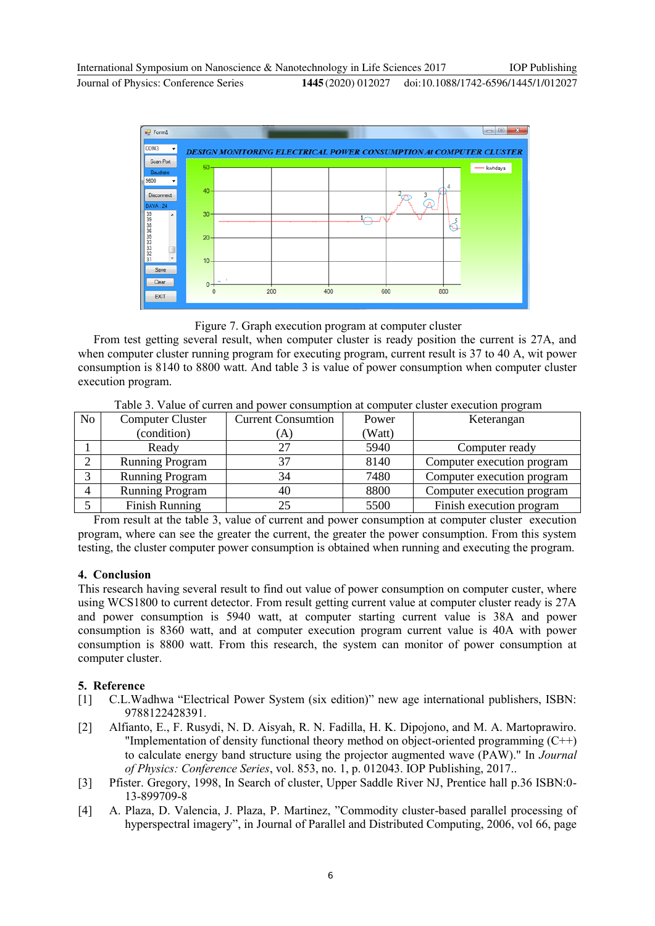

Figure 7. Graph execution program at computer cluster

From test getting several result, when computer cluster is ready position the current is 27A, and when computer cluster running program for executing program, current result is 37 to 40 A, wit power consumption is 8140 to 8800 watt. And table 3 is value of power consumption when computer cluster execution program.

|                |                         |                           |        | $\overline{\phantom{0}}$   |
|----------------|-------------------------|---------------------------|--------|----------------------------|
| N <sub>o</sub> | <b>Computer Cluster</b> | <b>Current Consumtion</b> | Power  | Keterangan                 |
|                | (condition)             | (A)                       | (Watt) |                            |
|                | Ready                   |                           | 5940   | Computer ready             |
| ↑              | <b>Running Program</b>  |                           | 8140   | Computer execution program |
| $\mathbf{r}$   | <b>Running Program</b>  | 34                        | 7480   | Computer execution program |
| 4              | <b>Running Program</b>  | 40                        | 8800   | Computer execution program |
|                | <b>Finish Running</b>   |                           | 5500   | Finish execution program   |

Table 3. Value of curren and power consumption at computer cluster execution program

From result at the table 3, value of current and power consumption at computer cluster execution program, where can see the greater the current, the greater the power consumption. From this system testing, the cluster computer power consumption is obtained when running and executing the program.

#### **4. Conclusion**

This research having several result to find out value of power consumption on computer custer, where using WCS1800 to current detector. From result getting current value at computer cluster ready is 27A and power consumption is 5940 watt, at computer starting current value is 38A and power consumption is 8360 watt, and at computer execution program current value is 40A with power consumption is 8800 watt. From this research, the system can monitor of power consumption at computer cluster.

### **5. Reference**

- [1] C.L.Wadhwa "Electrical Power System (six edition)" new age international publishers, ISBN: 9788122428391.
- [2] Alfianto, E., F. Rusydi, N. D. Aisyah, R. N. Fadilla, H. K. Dipojono, and M. A. Martoprawiro. "Implementation of density functional theory method on object-oriented programming  $(C++)$ to calculate energy band structure using the projector augmented wave (PAW)." In *Journal of Physics: Conference Series*, vol. 853, no. 1, p. 012043. IOP Publishing, 2017..
- [3] Pfister. Gregory, 1998, In Search of cluster, Upper Saddle River NJ, Prentice hall p.36 ISBN:0- 13-899709-8
- [4] A. Plaza, D. Valencia, J. Plaza, P. Martinez, "Commodity cluster-based parallel processing of hyperspectral imagery", in Journal of Parallel and Distributed Computing, 2006, vol 66, page